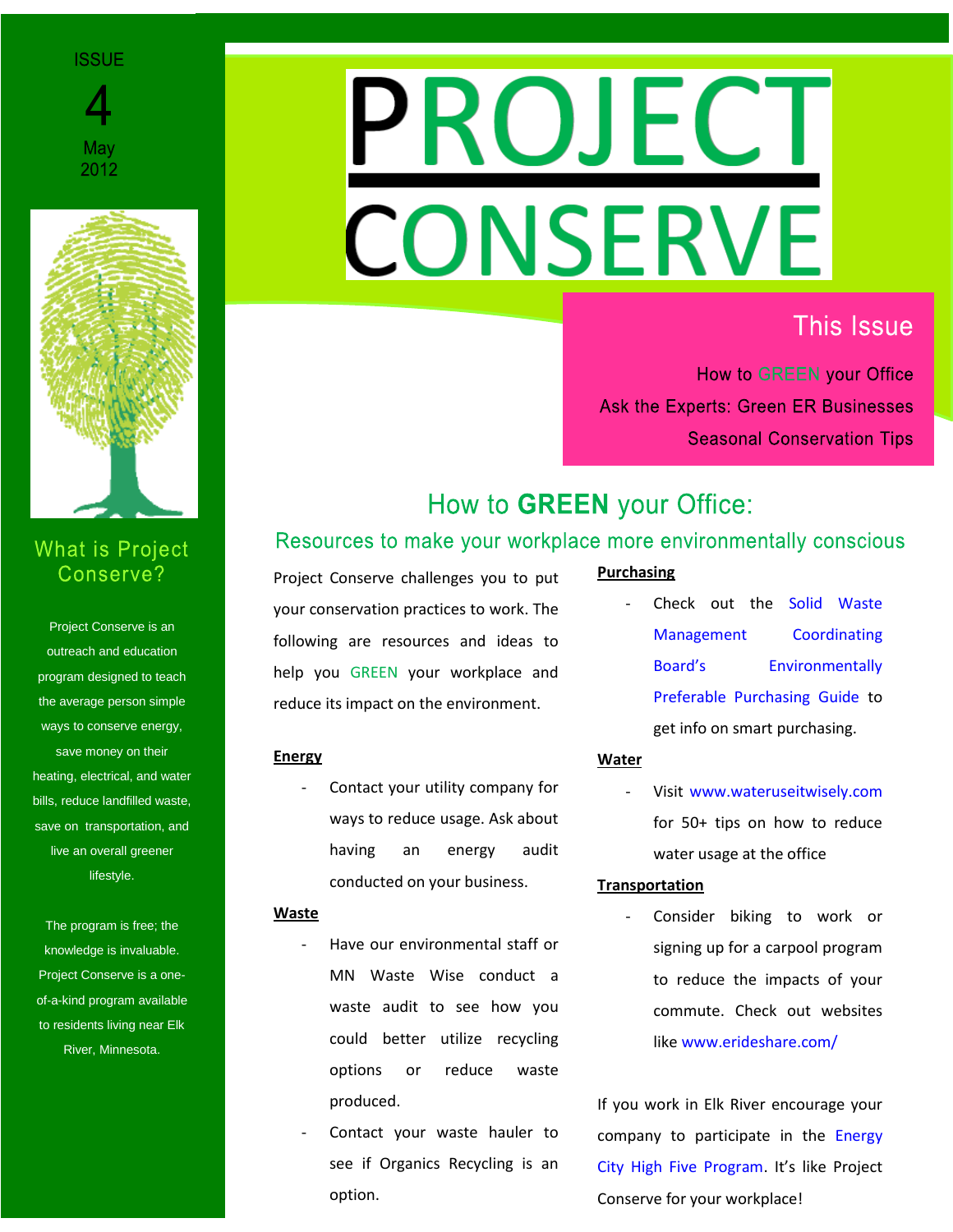#### **ISSUE**





# **What is Project** Conserve?

Project Conserve is an Project Conserve is an outreach and education outreach and education program designed to teach the average person simple ways to conserve energy, save money on their heating, electrical, and water bills, reduce landfilled waste, save on transportation, and live an overall greener lifestyle.

The program is free; the knowledge is invaluable. Project Conserve is a oneof-a-kind program available to residents living near Elk River, Minnesota.

# **ROJECT CONSERVE**

# **This Issue**

How to GREEN your Office **Ask the Experts: Green ER Businesses Seasonal Conservation Tips** 

# How to GREEN your Office:

# Resources to make your workplace more environmentally conscious

Project Conserve challenges you to put your conservation practices to work. The following are resources and ideas to help you GREEN your workplace and reduce its impact on the environment.

## **Energy**

Contact your utility company for ways to reduce usage. Ask about having an energy audit conducted on your business.

#### **Waste**

- Have our environmental staff or MN Waste Wise conduct a waste audit to see how you could better utilize recycling options or reduce waste produced.
- Contact your waste hauler to see if Organics Recycling is an option.

## **Purchasing**

Check out the Solid Waste [Management Coordinating](http://www.rethinkrecycling.com/government/eppg)  [Board's Environmentally](http://www.rethinkrecycling.com/government/eppg)  [Preferable Purchasing Guide](http://www.rethinkrecycling.com/government/eppg) to get info on smart purchasing.

#### **Water**

Visit [www.wateruseitwisely.com](http://www.wateruseitwisely.com/) for 50+ tips on how to reduce water usage at the office

#### **Transportation**

Consider biking to work or signing up for a carpool program to reduce the impacts of your commute. Check out websites like [www.erideshare.com/](http://www.erideshare.com/)

If you work in Elk River encourage your company to participate in the [Energy](http://www.ci.elk-river.mn.us/index.asp?Type=B_BASIC&SEC=%7b09D54230-4B28-4039-A6D2-F55A4E6E91EB%7d)  [City High Five Program.](http://www.ci.elk-river.mn.us/index.asp?Type=B_BASIC&SEC=%7b09D54230-4B28-4039-A6D2-F55A4E6E91EB%7d) It's like Project Conserve for your workplace!